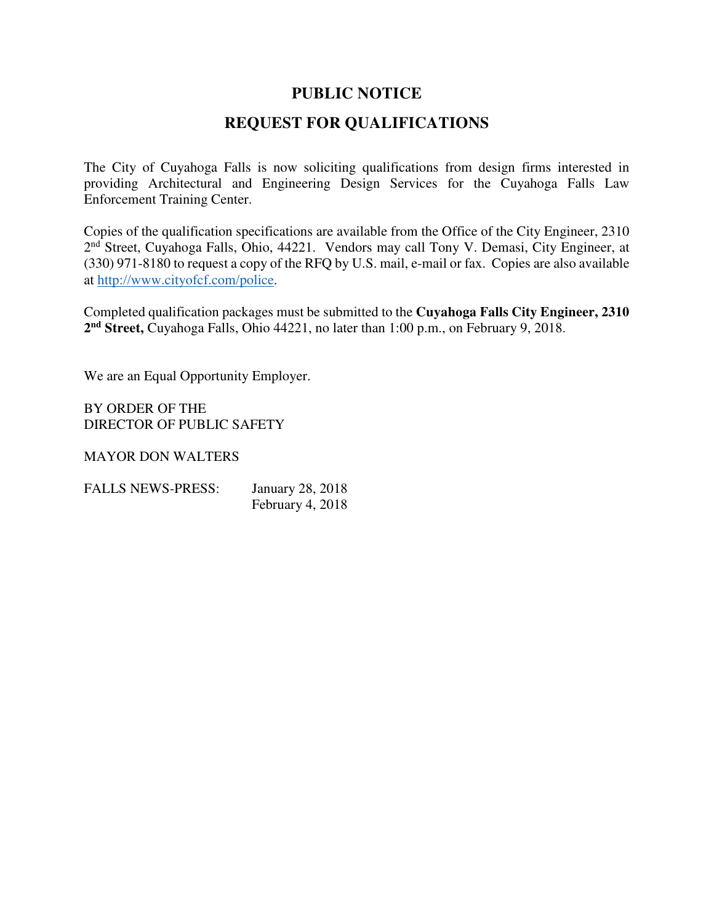### **PUBLIC NOTICE**

## **REQUEST FOR QUALIFICATIONS**

The City of Cuyahoga Falls is now soliciting qualifications from design firms interested in providing Architectural and Engineering Design Services for the Cuyahoga Falls Law Enforcement Training Center.

Copies of the qualification specifications are available from the Office of the City Engineer, 2310 2<sup>nd</sup> Street, Cuyahoga Falls, Ohio, 44221. Vendors may call Tony V. Demasi, City Engineer, at (330) 971-8180 to request a copy of the RFQ by U.S. mail, e-mail or fax. Copies are also available at http://www.cityofcf.com/police.

Completed qualification packages must be submitted to the **Cuyahoga Falls City Engineer, 2310 2 nd Street,** Cuyahoga Falls, Ohio 44221, no later than 1:00 p.m., on February 9, 2018.

We are an Equal Opportunity Employer.

BY ORDER OF THE DIRECTOR OF PUBLIC SAFETY

MAYOR DON WALTERS

| <b>FALLS NEWS-PRESS:</b> | <b>January 28, 2018</b> |  |  |  |
|--------------------------|-------------------------|--|--|--|
|                          | February 4, 2018        |  |  |  |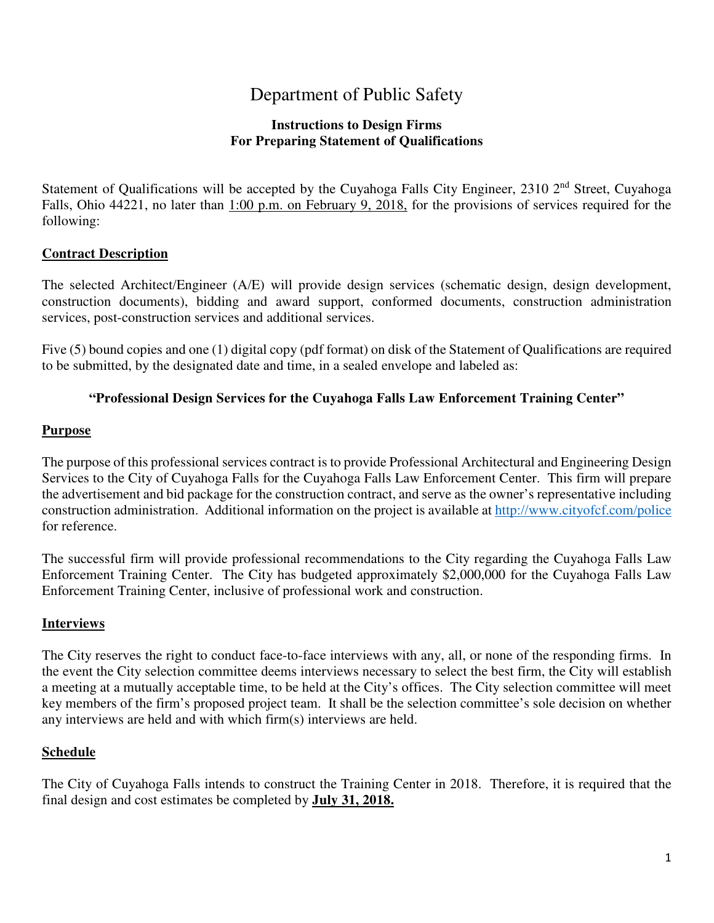## Department of Public Safety

#### **Instructions to Design Firms For Preparing Statement of Qualifications**

Statement of Qualifications will be accepted by the Cuyahoga Falls City Engineer, 2310 2<sup>nd</sup> Street, Cuyahoga Falls, Ohio 44221, no later than 1:00 p.m. on February 9, 2018, for the provisions of services required for the following:

#### **Contract Description**

The selected Architect/Engineer (A/E) will provide design services (schematic design, design development, construction documents), bidding and award support, conformed documents, construction administration services, post-construction services and additional services.

Five (5) bound copies and one (1) digital copy (pdf format) on disk of the Statement of Qualifications are required to be submitted, by the designated date and time, in a sealed envelope and labeled as:

#### **"Professional Design Services for the Cuyahoga Falls Law Enforcement Training Center"**

#### **Purpose**

The purpose of this professional services contract is to provide Professional Architectural and Engineering Design Services to the City of Cuyahoga Falls for the Cuyahoga Falls Law Enforcement Center. This firm will prepare the advertisement and bid package for the construction contract, and serve as the owner's representative including construction administration. Additional information on the project is available at http://www.cityofcf.com/police for reference.

The successful firm will provide professional recommendations to the City regarding the Cuyahoga Falls Law Enforcement Training Center. The City has budgeted approximately \$2,000,000 for the Cuyahoga Falls Law Enforcement Training Center, inclusive of professional work and construction.

#### **Interviews**

The City reserves the right to conduct face-to-face interviews with any, all, or none of the responding firms. In the event the City selection committee deems interviews necessary to select the best firm, the City will establish a meeting at a mutually acceptable time, to be held at the City's offices. The City selection committee will meet key members of the firm's proposed project team. It shall be the selection committee's sole decision on whether any interviews are held and with which firm(s) interviews are held.

#### **Schedule**

The City of Cuyahoga Falls intends to construct the Training Center in 2018. Therefore, it is required that the final design and cost estimates be completed by **July 31, 2018.**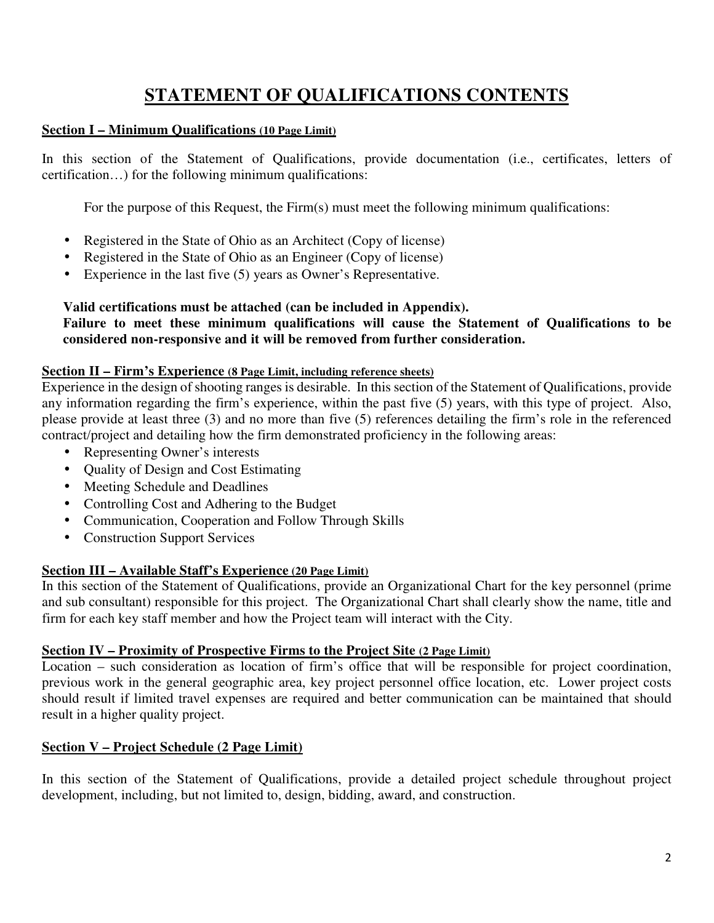# **STATEMENT OF QUALIFICATIONS CONTENTS**

#### **Section I – Minimum Qualifications (10 Page Limit)**

In this section of the Statement of Qualifications, provide documentation (i.e., certificates, letters of certification…) for the following minimum qualifications:

For the purpose of this Request, the Firm(s) must meet the following minimum qualifications:

- Registered in the State of Ohio as an Architect (Copy of license)
- Registered in the State of Ohio as an Engineer (Copy of license)
- Experience in the last five (5) years as Owner's Representative.

#### **Valid certifications must be attached (can be included in Appendix).**

**Failure to meet these minimum qualifications will cause the Statement of Qualifications to be considered non-responsive and it will be removed from further consideration.** 

#### **Section II – Firm's Experience (8 Page Limit, including reference sheets)**

Experience in the design of shooting ranges is desirable. In this section of the Statement of Qualifications, provide any information regarding the firm's experience, within the past five (5) years, with this type of project. Also, please provide at least three (3) and no more than five (5) references detailing the firm's role in the referenced contract/project and detailing how the firm demonstrated proficiency in the following areas:

- Representing Owner's interests
- Quality of Design and Cost Estimating
- Meeting Schedule and Deadlines
- Controlling Cost and Adhering to the Budget
- Communication, Cooperation and Follow Through Skills
- Construction Support Services

#### **Section III – Available Staff's Experience (20 Page Limit)**

In this section of the Statement of Qualifications, provide an Organizational Chart for the key personnel (prime and sub consultant) responsible for this project. The Organizational Chart shall clearly show the name, title and firm for each key staff member and how the Project team will interact with the City.

#### **Section IV – Proximity of Prospective Firms to the Project Site (2 Page Limit)**

Location – such consideration as location of firm's office that will be responsible for project coordination, previous work in the general geographic area, key project personnel office location, etc. Lower project costs should result if limited travel expenses are required and better communication can be maintained that should result in a higher quality project.

#### **Section V – Project Schedule (2 Page Limit)**

In this section of the Statement of Qualifications, provide a detailed project schedule throughout project development, including, but not limited to, design, bidding, award, and construction.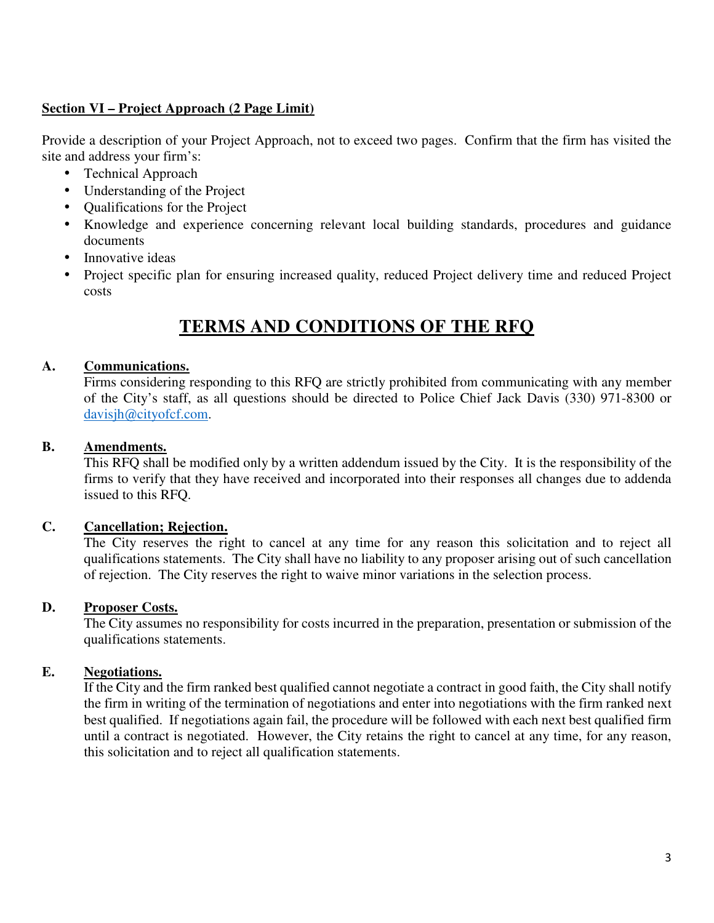#### **Section VI – Project Approach (2 Page Limit)**

Provide a description of your Project Approach, not to exceed two pages. Confirm that the firm has visited the site and address your firm's:

- Technical Approach
- Understanding of the Project
- Qualifications for the Project
- Knowledge and experience concerning relevant local building standards, procedures and guidance documents
- Innovative ideas
- Project specific plan for ensuring increased quality, reduced Project delivery time and reduced Project costs

## **TERMS AND CONDITIONS OF THE RFQ**

#### **A. Communications.**

Firms considering responding to this RFQ are strictly prohibited from communicating with any member of the City's staff, as all questions should be directed to Police Chief Jack Davis (330) 971-8300 or davisjh@cityofcf.com.

#### **B. Amendments.**

This RFQ shall be modified only by a written addendum issued by the City. It is the responsibility of the firms to verify that they have received and incorporated into their responses all changes due to addenda issued to this RFQ.

#### **C. Cancellation; Rejection.**

The City reserves the right to cancel at any time for any reason this solicitation and to reject all qualifications statements. The City shall have no liability to any proposer arising out of such cancellation of rejection. The City reserves the right to waive minor variations in the selection process.

#### **D. Proposer Costs.**

The City assumes no responsibility for costs incurred in the preparation, presentation or submission of the qualifications statements.

#### **E. Negotiations.**

If the City and the firm ranked best qualified cannot negotiate a contract in good faith, the City shall notify the firm in writing of the termination of negotiations and enter into negotiations with the firm ranked next best qualified. If negotiations again fail, the procedure will be followed with each next best qualified firm until a contract is negotiated. However, the City retains the right to cancel at any time, for any reason, this solicitation and to reject all qualification statements.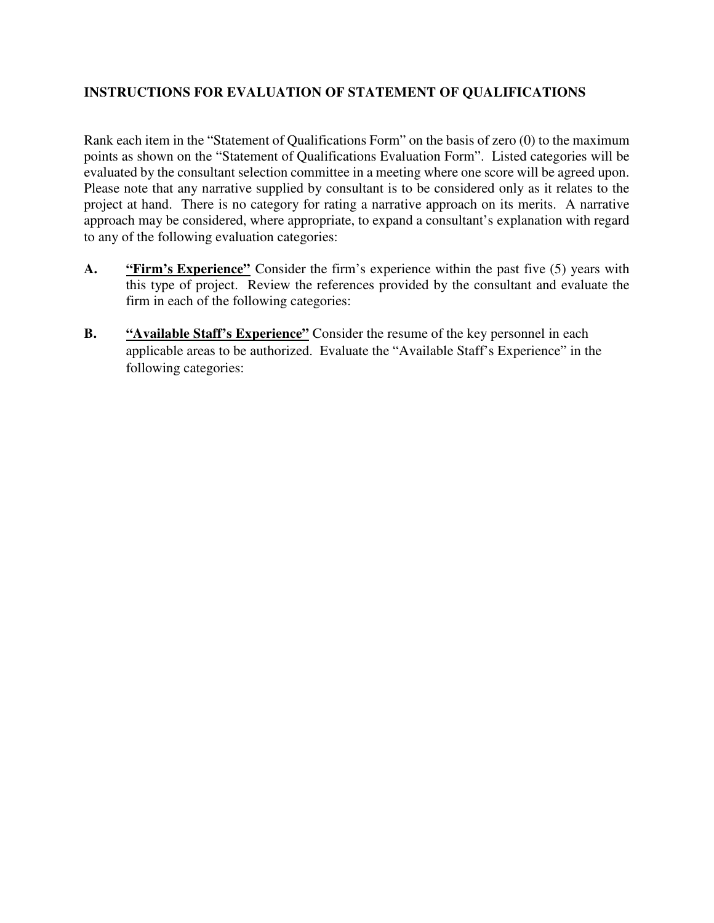#### **INSTRUCTIONS FOR EVALUATION OF STATEMENT OF QUALIFICATIONS**

Rank each item in the "Statement of Qualifications Form" on the basis of zero (0) to the maximum points as shown on the "Statement of Qualifications Evaluation Form". Listed categories will be evaluated by the consultant selection committee in a meeting where one score will be agreed upon. Please note that any narrative supplied by consultant is to be considered only as it relates to the project at hand. There is no category for rating a narrative approach on its merits. A narrative approach may be considered, where appropriate, to expand a consultant's explanation with regard to any of the following evaluation categories:

- **A. "Firm's Experience"** Consider the firm's experience within the past five (5) years with this type of project. Review the references provided by the consultant and evaluate the firm in each of the following categories:
- **B.** "Available Staff's Experience" Consider the resume of the key personnel in each applicable areas to be authorized. Evaluate the "Available Staff's Experience" in the following categories: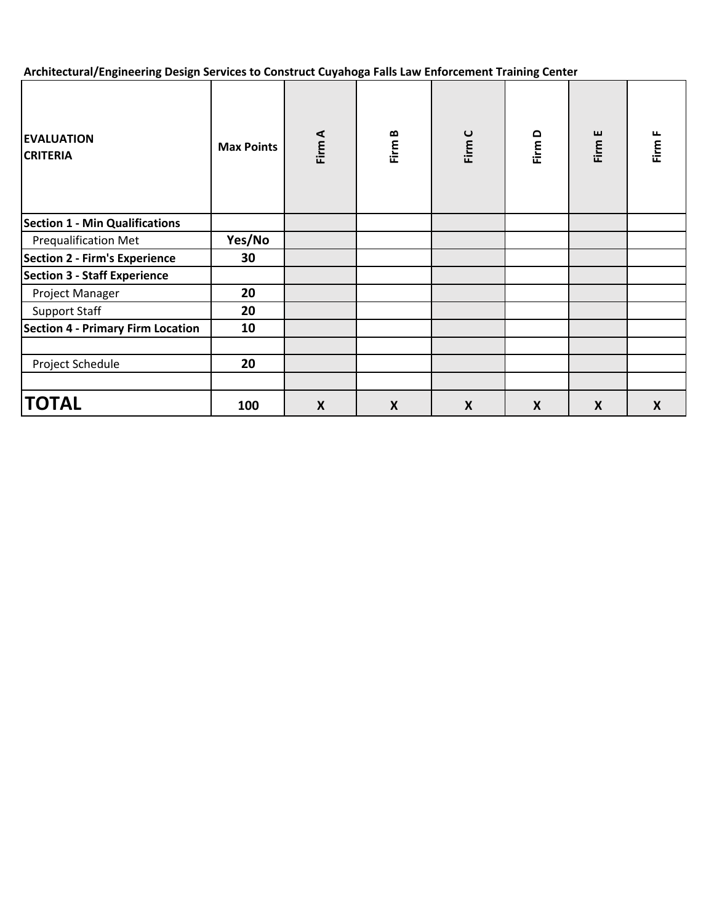**Architectural/Engineering Design Services to Construct Cuyahoga Falls Law Enforcement Training Center**

| <b>EVALUATION</b><br><b>CRITERIA</b>  | <b>Max Points</b> | Firm A           | Firm B           | Firm C | Firm D | Firm E           | Firm F |
|---------------------------------------|-------------------|------------------|------------------|--------|--------|------------------|--------|
| <b>Section 1 - Min Qualifications</b> |                   |                  |                  |        |        |                  |        |
| <b>Prequalification Met</b>           | Yes/No            |                  |                  |        |        |                  |        |
| <b>Section 2 - Firm's Experience</b>  | 30                |                  |                  |        |        |                  |        |
| <b>Section 3 - Staff Experience</b>   |                   |                  |                  |        |        |                  |        |
| Project Manager                       | 20                |                  |                  |        |        |                  |        |
| <b>Support Staff</b>                  | 20                |                  |                  |        |        |                  |        |
| Section 4 - Primary Firm Location     | 10                |                  |                  |        |        |                  |        |
|                                       |                   |                  |                  |        |        |                  |        |
| Project Schedule                      | 20                |                  |                  |        |        |                  |        |
|                                       |                   |                  |                  |        |        |                  |        |
| <b>TOTAL</b>                          | 100               | $\boldsymbol{X}$ | $\boldsymbol{X}$ | X      | X      | $\boldsymbol{X}$ | X      |